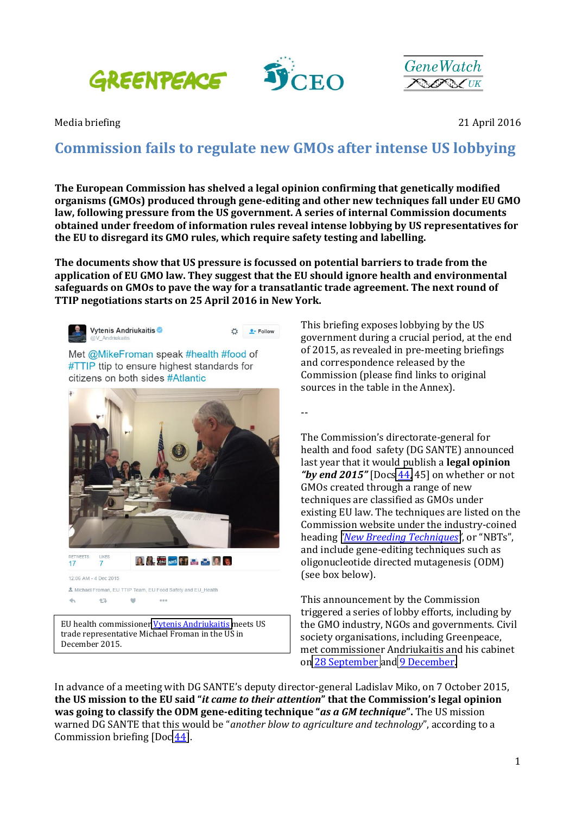



Media briefing 2016

# **Commission'fails'to'regulate new'GMOs after intense'US'lobbying**

**The'European'Commission'has'shelved a'legal'opinion'confirming'that'genetically'modified' organisms (GMOs)** produced through gene-editing and other new techniques fall under EU GMO **law, following'pressure'from'the'US government.'A series of'internal'Commission documents' obtained under'freedom'of'information'rules'reveal'intense'lobbying'by'US'representatives for' the'EU'to'disregard its'GMO rules,'which'require'safety'testing'and'labelling.**

**The'documents'show'that'US'pressure'is'focussed'on'potential'barriers'to'trade'from the' application'of'EU'GMO'law.'They'suggest'that'the'EU'should'ignore health'and'environmental'** safeguards on GMOs to pave the way for a transatlantic trade agreement. The next round of TTIP negotiations starts on 25 April 2016 in New York.



EU health commissioner Vytenis Andriukaitis meets US trade representative Michael Froman in the US in December 2015.

This briefing exposes lobbying by the US government during a crucial period, at the end of 2015, as revealed in pre-meeting briefings and correspondence released by the Commission (please find links to original sources in the table in the Annex).

 $\ddot{\phantom{0}}$ 

The Commission's directorate-general for health and food safety (DG SANTE) announced last year that it would publish a **legal opinion** "by end  $2015$ " [Docs  $44$ , 45] on whether or not GMOs created through a range of new techniques are classified as GMOs under existing EU law. The techniques are listed on the Commission website under the industry-coined heading "*New Breeding Techniques*", or "NBTs", and include gene-editing techniques such as oligonucleotide directed mutagenesis (ODM) (see box below).

This announcement by the Commission triggered a series of lobby efforts, including by the GMO industry, NGOs and governments. Civil society organisations, including Greenpeace, met commissioner Andriukaitis and his cabinet on 28 September and 9 December.

In advance of a meeting with DG SANTE's deputy director-general Ladislav Miko, on 7 October 2015, **the US mission to the EU said "it came to their attention" that the Commission's legal opinion was going to classify the ODM gene-editing technique** "*as a GM technique*". The US mission warned DG SANTE that this would be "another blow to agriculture and technology", according to a Commission briefing  $[Doc 44]$ .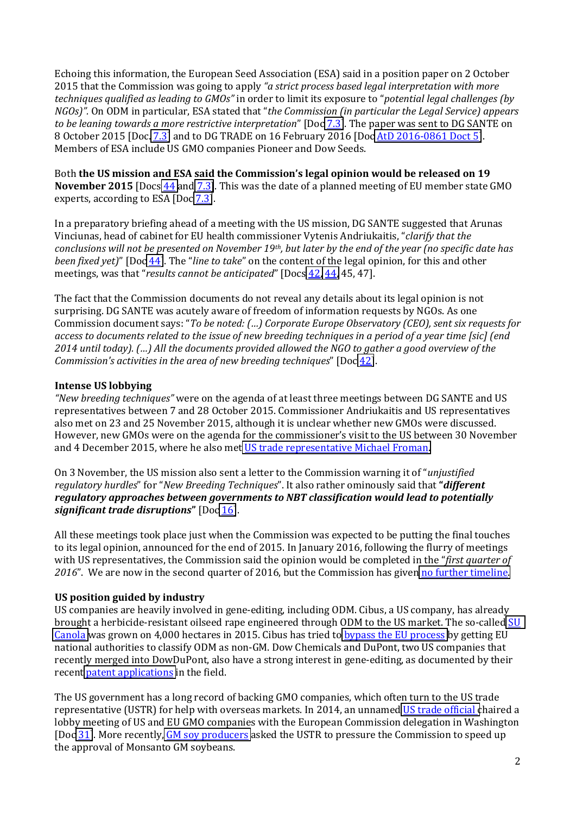Echoing this information, the European Seed Association (ESA) said in a position paper on 2 October 2015 that the Commission was going to apply "a strict process based legal interpretation with more techniques qualified as leading to GMOs" in order to limit its exposure to "potential legal challenges (by NGOs)". On ODM in particular, ESA stated that "the Commission (in particular the Legal Service) appears to be leaning towards a more restrictive interpretation" [Doc 7.3]. The paper was sent to DG SANTE on 8 October 2015 [Doc. 7.3] and to DG TRADE on 16 February 2016 [Doc AtD 2016-0861 Doct 5]. Members of ESA include US GMO companies Pioneer and Dow Seeds.

Both the US mission and ESA said the Commission's legal opinion would be released on 19 November 2015 [Docs 44 and 7.3]. This was the date of a planned meeting of EU member state GMO experts, according to ESA [Doc 7.3].

In a preparatory briefing ahead of a meeting with the US mission, DG SANTE suggested that Arunas Vinciunas, head of cabinet for EU health commissioner Vytenis Andriukaitis, "clarify that the conclusions will not be presented on November 19th, but later by the end of the year (no specific date has been fixed yet)" [Doc 44]. The "line to take" on the content of the legal opinion, for this and other meetings, was that "results cannot be anticipated" [Docs 42, 44, 45, 47].

The fact that the Commission documents do not reveal any details about its legal opinion is not surprising. DG SANTE was acutely aware of freedom of information requests by NGOs. As one Commission document says: "To be noted: (...) Corporate Europe Observatory (CEO), sent six requests for access to documents related to the issue of new breeding techniques in a period of a year time [sic] (end 2014 until today). (...) All the documents provided allowed the NGO to gather a good overview of the Commission's activities in the area of new breeding techniques" [Doc 42].

#### **Intense US lobbying**

"New breeding techniques" were on the agenda of at least three meetings between DG SANTE and US representatives between 7 and 28 October 2015. Commissioner Andriukaitis and US representatives also met on 23 and 25 November 2015, although it is unclear whether new GMOs were discussed. However, new GMOs were on the agenda for the commissioner's visit to the US between 30 November and 4 December 2015, where he also met US trade representative Michael Froman.

On 3 November, the US mission also sent a letter to the Commission warning it of "*uniustified* reaulatory hurdles" for "New Breedina Techniaues". It also rather ominously said that "different" regulatory approaches between governments to NBT classification would lead to potentially significant trade disruptions"  $[Doc 16]$ .

All these meetings took place just when the Commission was expected to be putting the final touches to its legal opinion, announced for the end of 2015. In January 2016, following the flurry of meetings with US representatives, the Commission said the opinion would be completed in the "first quarter of 2016". We are now in the second quarter of 2016, but the Commission has given no further timeline.

#### US position guided by industry

US companies are heavily involved in gene-editing, including ODM. Cibus, a US company, has already brought a herbicide-resistant oilseed rape engineered through ODM to the US market. The so-called SU Canola was grown on 4,000 hectares in 2015. Cibus has tried to bypass the EU process by getting EU national authorities to classify ODM as non-GM. Dow Chemicals and DuPont, two US companies that recently merged into DowDuPont, also have a strong interest in gene-editing, as documented by their recent patent applications in the field.

The US government has a long record of backing GMO companies, which often turn to the US trade representative (USTR) for help with overseas markets. In 2014, an unnamed US trade official chaired a lobby meeting of US and EU GMO companies with the European Commission delegation in Washington [Doc 31]. More recently, GM soy producers asked the USTR to pressure the Commission to speed up the approval of Monsanto GM soybeans.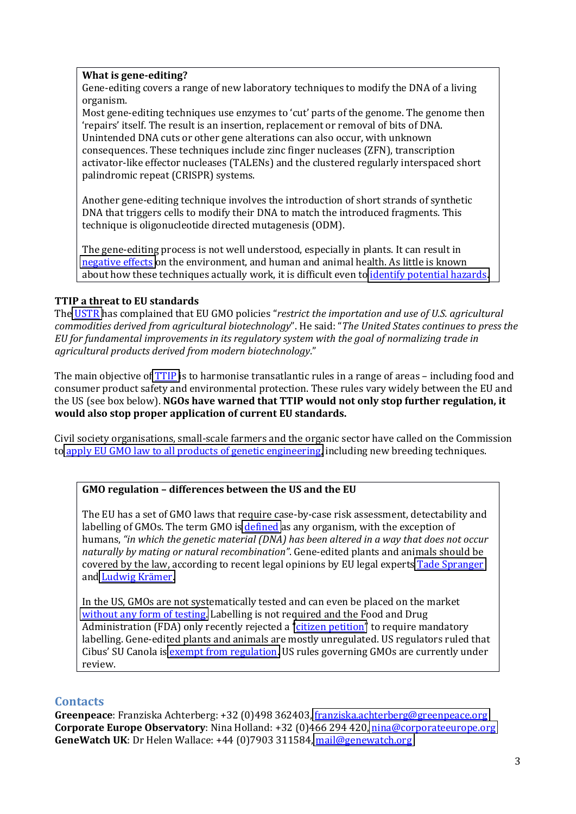#### **What is gene-editing?**

Gene-editing covers a range of new laboratory techniques to modify the DNA of a living organism.!

Most gene-editing techniques use enzymes to 'cut' parts of the genome. The genome then 'repairs' itself. The result is an insertion, replacement or removal of bits of DNA. Unintended DNA cuts or other gene alterations can also occur, with unknown consequences. These techniques include zinc finger nucleases (ZFN), transcription activator-like effector nucleases (TALENs) and the clustered regularly interspaced short palindromic repeat (CRISPR) systems.

Another gene-editing technique involves the introduction of short strands of synthetic DNA that triggers cells to modify their DNA to match the introduced fragments. This technique is oligonucleotide directed mutagenesis (ODM).

The gene-editing process is not well understood, especially in plants. It can result in negative effects on the environment, and human and animal health. As little is known about how these techniques actually work, it is difficult even to *identify potential hazards*.

#### **TTIP'a'threat'to EU'standards**

The USTR has complained that EU GMO policies "restrict the importation and use of U.S. agricultural *commodities derived from agricultural biotechnology*". He said: "The United States continues to press the EU for fundamental improvements in its regulatory system with the goal of normalizing trade in agricultural products derived from modern biotechnology."

The main objective of TTIP is to harmonise transatlantic rules in a range of areas – including food and consumer product safety and environmental protection. These rules vary widely between the EU and the US (see box below). **NGOs have warned that TTIP would not only stop further regulation, it would'also'stop'proper'application'of'current'EU'standards.**

Civil society organisations, small-scale farmers and the organic sector have called on the Commission to apply EU GMO law to all products of genetic engineering, including new breeding techniques.

#### **GMO'regulation'Ȃ differences between'the'US'and'the'EU'**

The EU has a set of GMO laws that require case-by-case risk assessment, detectability and labelling of GMOs. The term GMO is defined as any organism, with the exception of humans, "*in which the genetic material (DNA) has been altered in a way that does not occur naturally by mating or natural recombination*<sup>*"*</sup>. Gene-edited plants and animals should be covered by the law, according to recent legal opinions by EU legal experts Tade Spranger and Ludwig Krämer.

In the US, GMOs are not systematically tested and can even be placed on the market without any form of testing. Labelling is not required and the Food and Drug Administration (FDA) only recently rejected a "citizen petition" to require mandatory labelling. Gene-edited plants and animals are mostly unregulated. US regulators ruled that Cibus' SU Canola is exempt from regulation. US rules governing GMOs are currently under review.

#### **Contacts**

Greenpeace: Franziska Achterberg: +32 (0)498 362403, franziska.achterberg@greenpeace.org **Corporate Europe Observatory:** Nina Holland: +32 (0)466 294 420, nina@corporateeurope.org GeneWatch UK: Dr Helen Wallace: +44 (0)7903 311584, [mail@genewatch.org](mailto:mail@genewatch.org)